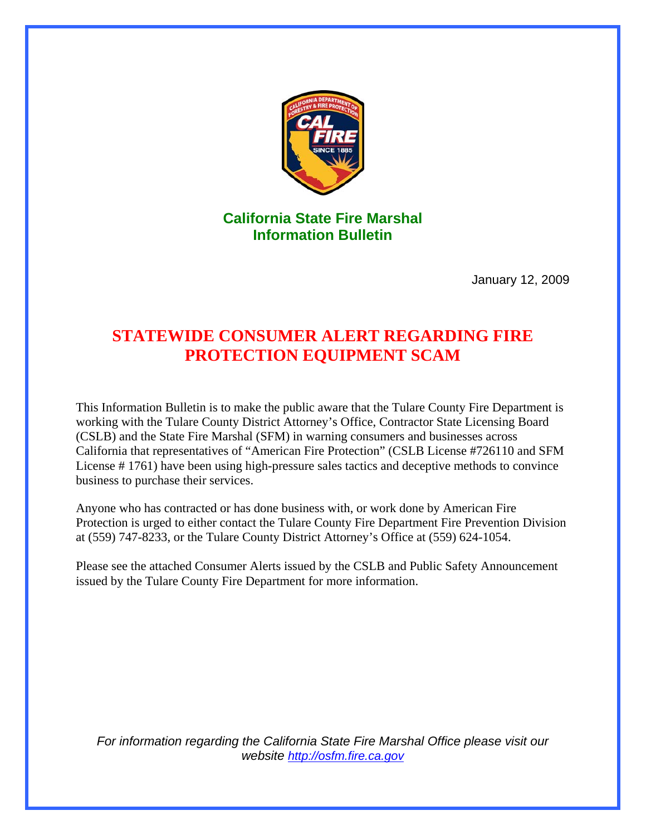

**California State Fire Marshal Information Bulletin** 

January 12, 2009

# **STATEWIDE CONSUMER ALERT REGARDING FIRE PROTECTION EQUIPMENT SCAM**

This Information Bulletin is to make the public aware that the Tulare County Fire Department is working with the Tulare County District Attorney's Office, Contractor State Licensing Board (CSLB) and the State Fire Marshal (SFM) in warning consumers and businesses across California that representatives of "American Fire Protection" (CSLB License #726110 and SFM License # 1761) have been using high-pressure sales tactics and deceptive methods to convince business to purchase their services.

Anyone who has contracted or has done business with, or work done by American Fire Protection is urged to either contact the Tulare County Fire Department Fire Prevention Division at (559) 747-8233, or the Tulare County District Attorney's Office at (559) 624-1054.

Please see the attached Consumer Alerts issued by the CSLB and Public Safety Announcement issued by the Tulare County Fire Department for more information.

*For information regarding the California State Fire Marshal Office please visit our website [http://osfm.fire.ca.gov](http://osfm.fire.ca.gov/)*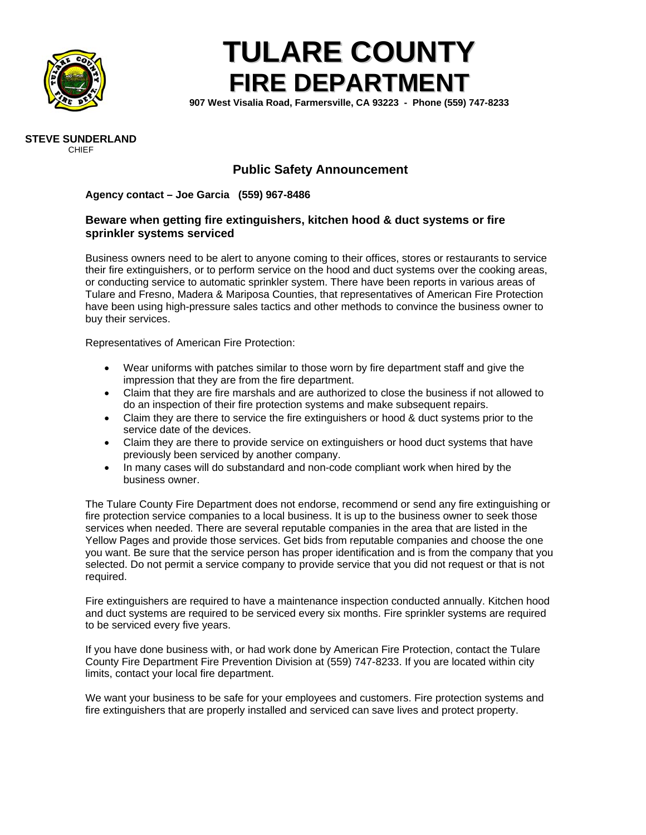

# **TULARE COUNTY FIRE DEPARTMENT**

**907 West Visalia Road, Farmersville, CA 93223 - Phone (559) 747-8233** 



#### **Public Safety Announcement**

#### **Agency contact – Joe Garcia (559) 967-8486**

#### **Beware when getting fire extinguishers, kitchen hood & duct systems or fire sprinkler systems serviced**

Business owners need to be alert to anyone coming to their offices, stores or restaurants to service their fire extinguishers, or to perform service on the hood and duct systems over the cooking areas, or conducting service to automatic sprinkler system. There have been reports in various areas of Tulare and Fresno, Madera & Mariposa Counties, that representatives of American Fire Protection have been using high-pressure sales tactics and other methods to convince the business owner to buy their services.

Representatives of American Fire Protection:

- Wear uniforms with patches similar to those worn by fire department staff and give the impression that they are from the fire department.
- Claim that they are fire marshals and are authorized to close the business if not allowed to do an inspection of their fire protection systems and make subsequent repairs.
- Claim they are there to service the fire extinguishers or hood & duct systems prior to the service date of the devices.
- Claim they are there to provide service on extinguishers or hood duct systems that have previously been serviced by another company.
- In many cases will do substandard and non-code compliant work when hired by the business owner.

The Tulare County Fire Department does not endorse, recommend or send any fire extinguishing or fire protection service companies to a local business. It is up to the business owner to seek those services when needed. There are several reputable companies in the area that are listed in the Yellow Pages and provide those services. Get bids from reputable companies and choose the one you want. Be sure that the service person has proper identification and is from the company that you selected. Do not permit a service company to provide service that you did not request or that is not required.

Fire extinguishers are required to have a maintenance inspection conducted annually. Kitchen hood and duct systems are required to be serviced every six months. Fire sprinkler systems are required to be serviced every five years.

If you have done business with, or had work done by American Fire Protection, contact the Tulare County Fire Department Fire Prevention Division at (559) 747-8233. If you are located within city limits, contact your local fire department.

We want your business to be safe for your employees and customers. Fire protection systems and fire extinguishers that are properly installed and serviced can save lives and protect property.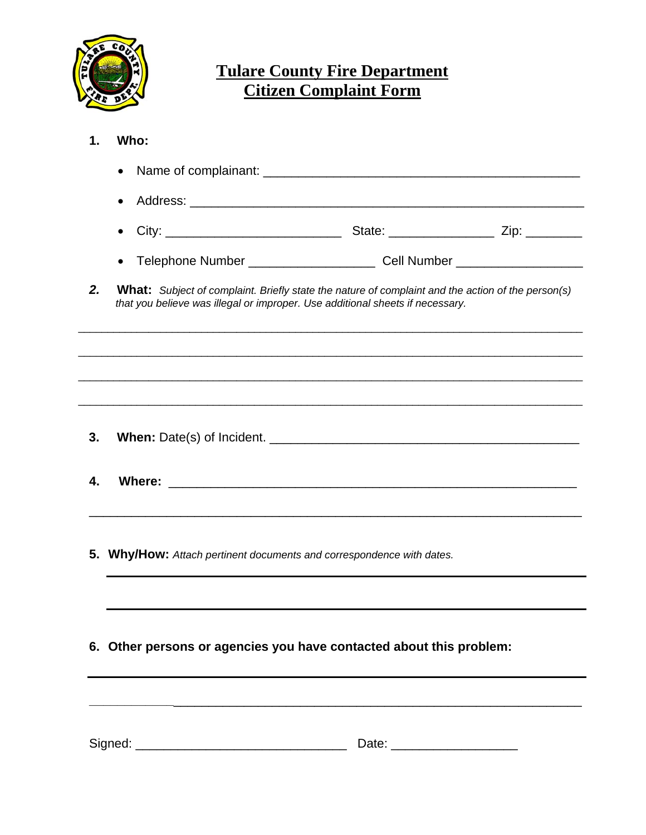

# **Tulare County Fire Department Citizen Complaint Form**

- **1. Who:** 
	- Name of complainant: \_\_\_\_\_\_\_\_\_\_\_\_\_\_\_\_\_\_\_\_\_\_\_\_\_\_\_\_\_\_\_\_\_\_\_\_\_\_\_\_\_\_\_\_\_ • Address: \_\_\_\_\_\_\_\_\_\_\_\_\_\_\_\_\_\_\_\_\_\_\_\_\_\_\_\_\_\_\_\_\_\_\_\_\_\_\_\_\_\_\_\_\_\_\_\_\_\_\_\_\_\_\_\_ • City: \_\_\_\_\_\_\_\_\_\_\_\_\_\_\_\_\_\_\_\_\_\_\_\_\_ State: \_\_\_\_\_\_\_\_\_\_\_\_\_\_\_ Zip: \_\_\_\_\_\_\_\_
	- Telephone Number \_\_\_\_\_\_\_\_\_\_\_\_\_\_\_\_\_\_\_\_\_\_ Cell Number \_\_\_\_\_\_\_\_\_\_\_\_\_\_\_\_\_\_\_\_\_\_\_\_\_\_
- *2.* **What:** *Subject of complaint. Briefly state the nature of complaint and the action of the person(s) that you believe was illegal or improper. Use additional sheets if necessary.*

 $\overline{\phantom{a}}$  ,  $\overline{\phantom{a}}$  ,  $\overline{\phantom{a}}$  ,  $\overline{\phantom{a}}$  ,  $\overline{\phantom{a}}$  ,  $\overline{\phantom{a}}$  ,  $\overline{\phantom{a}}$  ,  $\overline{\phantom{a}}$  ,  $\overline{\phantom{a}}$  ,  $\overline{\phantom{a}}$  ,  $\overline{\phantom{a}}$  ,  $\overline{\phantom{a}}$  ,  $\overline{\phantom{a}}$  ,  $\overline{\phantom{a}}$  ,  $\overline{\phantom{a}}$  ,  $\overline{\phantom{a}}$ 

 $\overline{\phantom{a}}$  ,  $\overline{\phantom{a}}$  ,  $\overline{\phantom{a}}$  ,  $\overline{\phantom{a}}$  ,  $\overline{\phantom{a}}$  ,  $\overline{\phantom{a}}$  ,  $\overline{\phantom{a}}$  ,  $\overline{\phantom{a}}$  ,  $\overline{\phantom{a}}$  ,  $\overline{\phantom{a}}$  ,  $\overline{\phantom{a}}$  ,  $\overline{\phantom{a}}$  ,  $\overline{\phantom{a}}$  ,  $\overline{\phantom{a}}$  ,  $\overline{\phantom{a}}$  ,  $\overline{\phantom{a}}$ 

 $\overline{\phantom{a}}$  ,  $\overline{\phantom{a}}$  ,  $\overline{\phantom{a}}$  ,  $\overline{\phantom{a}}$  ,  $\overline{\phantom{a}}$  ,  $\overline{\phantom{a}}$  ,  $\overline{\phantom{a}}$  ,  $\overline{\phantom{a}}$  ,  $\overline{\phantom{a}}$  ,  $\overline{\phantom{a}}$  ,  $\overline{\phantom{a}}$  ,  $\overline{\phantom{a}}$  ,  $\overline{\phantom{a}}$  ,  $\overline{\phantom{a}}$  ,  $\overline{\phantom{a}}$  ,  $\overline{\phantom{a}}$ 

 $\overline{\phantom{a}}$  ,  $\overline{\phantom{a}}$  ,  $\overline{\phantom{a}}$  ,  $\overline{\phantom{a}}$  ,  $\overline{\phantom{a}}$  ,  $\overline{\phantom{a}}$  ,  $\overline{\phantom{a}}$  ,  $\overline{\phantom{a}}$  ,  $\overline{\phantom{a}}$  ,  $\overline{\phantom{a}}$  ,  $\overline{\phantom{a}}$  ,  $\overline{\phantom{a}}$  ,  $\overline{\phantom{a}}$  ,  $\overline{\phantom{a}}$  ,  $\overline{\phantom{a}}$  ,  $\overline{\phantom{a}}$ 

\_\_\_\_\_\_\_\_\_\_\_\_\_\_\_\_\_\_\_\_\_\_\_\_\_\_\_\_\_\_\_\_\_\_\_\_\_\_\_\_\_\_\_\_\_\_\_\_\_\_\_\_\_\_\_\_\_\_\_\_\_\_\_\_\_\_\_\_\_\_

**\_\_\_\_\_\_\_\_\_\_\_\_**\_\_\_\_\_\_\_\_\_\_\_\_\_\_\_\_\_\_\_\_\_\_\_\_\_\_\_\_\_\_\_\_\_\_\_\_\_\_\_\_\_\_\_\_\_\_\_\_\_\_\_\_\_\_\_\_\_\_

- **3. When:** Date(s) of Incident. \_\_\_\_\_\_\_\_\_\_\_\_\_\_\_\_\_\_\_\_\_\_\_\_\_\_\_\_\_\_\_\_\_\_\_\_\_\_\_\_\_\_\_\_
- **4. Where:** \_\_\_\_\_\_\_\_\_\_\_\_\_\_\_\_\_\_\_\_\_\_\_\_\_\_\_\_\_\_\_\_\_\_\_\_\_\_\_\_\_\_\_\_\_\_\_\_\_\_\_\_\_\_\_\_\_\_
- **5. Why/How:** *Attach pertinent documents and correspondence with dates.*
- **6. Other persons or agencies you have contacted about this problem:**

| Signed: | ` - 1 - . |
|---------|-----------|
|---------|-----------|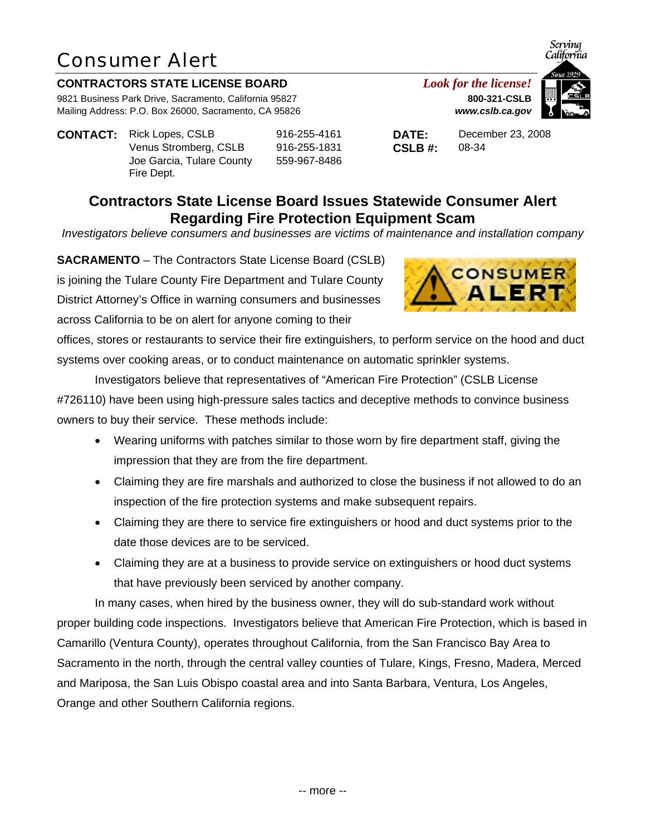### **CONTRACTORS STATE LICENSE BOARD** *Look for the license!*

9821 Business Park Drive, Sacramento, California 95827 **800-321-CSLB** Mailing Address: P.O. Box 26000, Sacramento, CA 95826 *www.cslb.ca.gov*

**CONTACT:** Rick Lopes, CSLB 916-255-4161 **DATE:** December 23, 2008 Venus Stromberg, CSLB 916-255-1831 **CSLB #:** 08-34 Joe Garcia, Tulare County Fire Dept.

559-967-8486



Serving

## **Contractors State License Board Issues Statewide Consumer Alert Regarding Fire Protection Equipment Scam**

*Investigators believe consumers and businesses are victims of maintenance and installation company* 

**SACRAMENTO** – The Contractors State License Board (CSLB) is joining the Tulare County Fire Department and Tulare County District Attorney's Office in warning consumers and businesses across California to be on alert for anyone coming to their

offices, stores or restaurants to service their fire extinguishers, to perform service on the hood and duct systems over cooking areas, or to conduct maintenance on automatic sprinkler systems.

Investigators believe that representatives of "American Fire Protection" (CSLB License #726110) have been using high-pressure sales tactics and deceptive methods to convince business owners to buy their service. These methods include:

- Wearing uniforms with patches similar to those worn by fire department staff, giving the impression that they are from the fire department.
- Claiming they are fire marshals and authorized to close the business if not allowed to do an inspection of the fire protection systems and make subsequent repairs.
- Claiming they are there to service fire extinguishers or hood and duct systems prior to the date those devices are to be serviced.
- Claiming they are at a business to provide service on extinguishers or hood duct systems that have previously been serviced by another company.

In many cases, when hired by the business owner, they will do sub-standard work without proper building code inspections. Investigators believe that American Fire Protection, which is based in Camarillo (Ventura County), operates throughout California, from the San Francisco Bay Area to Sacramento in the north, through the central valley counties of Tulare, Kings, Fresno, Madera, Merced and Mariposa, the San Luis Obispo coastal area and into Santa Barbara, Ventura, Los Angeles, Orange and other Southern California regions.

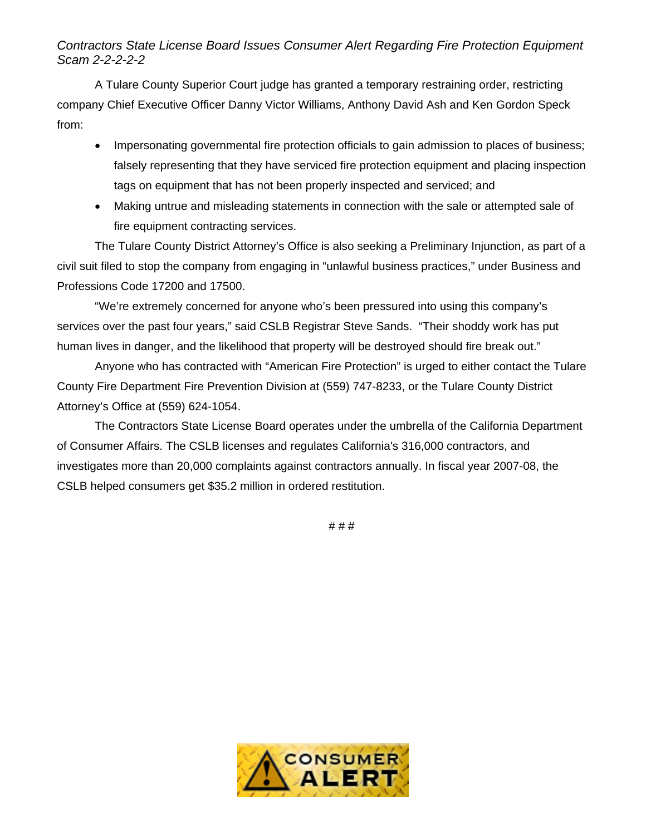### *Contractors State License Board Issues Consumer Alert Regarding Fire Protection Equipment Scam 2-2-2-2-2*

A Tulare County Superior Court judge has granted a temporary restraining order, restricting company Chief Executive Officer Danny Victor Williams, Anthony David Ash and Ken Gordon Speck from:

- Impersonating governmental fire protection officials to gain admission to places of business; falsely representing that they have serviced fire protection equipment and placing inspection tags on equipment that has not been properly inspected and serviced; and
- Making untrue and misleading statements in connection with the sale or attempted sale of fire equipment contracting services.

The Tulare County District Attorney's Office is also seeking a Preliminary Injunction, as part of a civil suit filed to stop the company from engaging in "unlawful business practices," under Business and Professions Code 17200 and 17500.

"We're extremely concerned for anyone who's been pressured into using this company's services over the past four years," said CSLB Registrar Steve Sands. "Their shoddy work has put human lives in danger, and the likelihood that property will be destroyed should fire break out."

Anyone who has contracted with "American Fire Protection" is urged to either contact the Tulare County Fire Department Fire Prevention Division at (559) 747-8233, or the Tulare County District Attorney's Office at (559) 624-1054.

The Contractors State License Board operates under the umbrella of the California Department of Consumer Affairs. The CSLB licenses and regulates California's 316,000 contractors, and investigates more than 20,000 complaints against contractors annually. In fiscal year 2007-08, the CSLB helped consumers get \$35.2 million in ordered restitution.

# # #